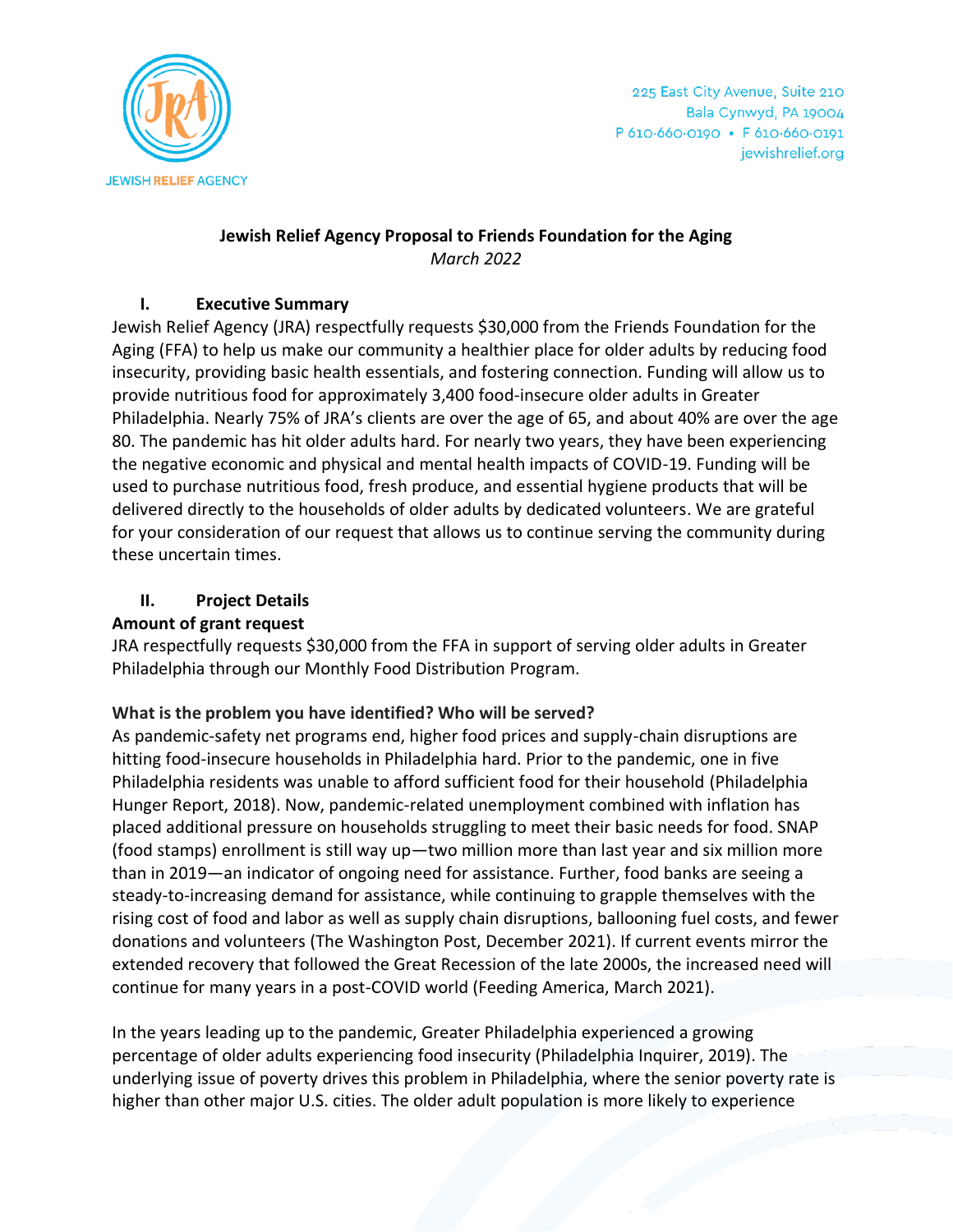

## **Jewish Relief Agency Proposal to Friends Foundation for the Aging** *March 2022*

### **I. Executive Summary**

Jewish Relief Agency (JRA) respectfully requests \$30,000 from the Friends Foundation for the Aging (FFA) to help us make our community a healthier place for older adults by reducing food insecurity, providing basic health essentials, and fostering connection. Funding will allow us to provide nutritious food for approximately 3,400 food-insecure older adults in Greater Philadelphia. Nearly 75% of JRA's clients are over the age of 65, and about 40% are over the age 80. The pandemic has hit older adults hard. For nearly two years, they have been experiencing the negative economic and physical and mental health impacts of COVID-19. Funding will be used to purchase nutritious food, fresh produce, and essential hygiene products that will be delivered directly to the households of older adults by dedicated volunteers. We are grateful for your consideration of our request that allows us to continue serving the community during these uncertain times.

## **II. Project Details**

#### **Amount of grant request**

JRA respectfully requests \$30,000 from the FFA in support of serving older adults in Greater Philadelphia through our Monthly Food Distribution Program.

## **What is the problem you have identified? Who will be served?**

As pandemic-safety net programs end, higher food prices and supply-chain disruptions are hitting food-insecure households in Philadelphia hard. Prior to the pandemic, one in five Philadelphia residents was unable to afford sufficient food for their household (Philadelphia Hunger Report, 2018). Now, pandemic-related unemployment combined with inflation has placed additional pressure on households struggling to meet their basic needs for food. SNAP (food stamps) enrollment is still way up—two million more than last year and six million more than in 2019—an indicator of ongoing need for assistance. Further, food banks are seeing a steady-to-increasing demand for assistance, while continuing to grapple themselves with the rising cost of food and labor as well as supply chain disruptions, ballooning fuel costs, and fewer donations and volunteers (The Washington Post, December 2021). If current events mirror the extended recovery that followed the Great Recession of the late 2000s, the increased need will continue for many years in a post-COVID world (Feeding America, March 2021).

In the years leading up to the pandemic, Greater Philadelphia experienced a growing percentage of older adults experiencing food insecurity (Philadelphia Inquirer, 2019). The underlying issue of poverty drives this problem in Philadelphia, where the senior poverty rate is higher than other major U.S. cities. The older adult population is more likely to experience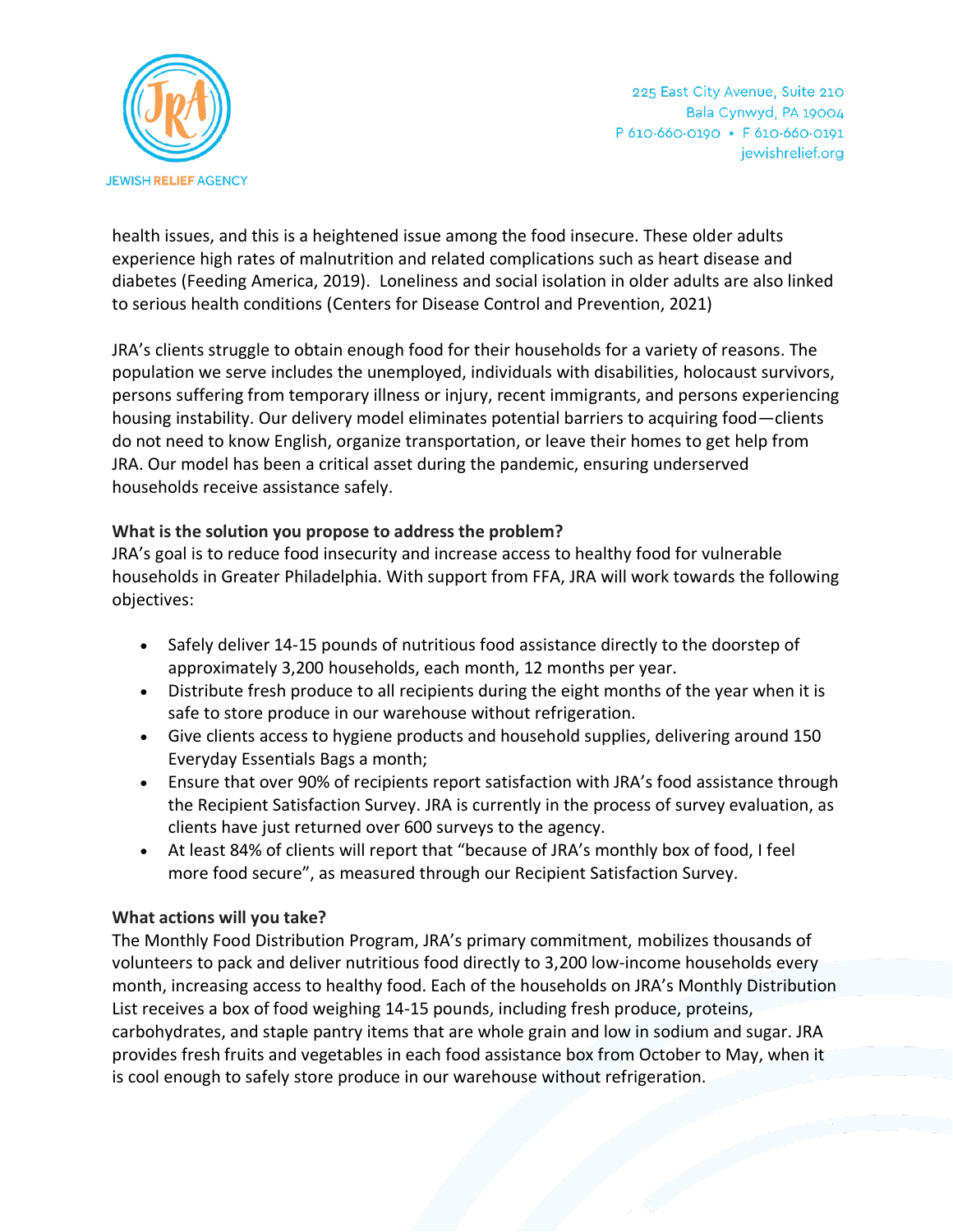

health issues, and this is a heightened issue among the food insecure. These older adults experience high rates of malnutrition and related complications such as heart disease and diabetes (Feeding America, 2019). Loneliness and social isolation in older adults are also linked to serious health conditions (Centers for Disease Control and Prevention, 2021)

JRA's clients struggle to obtain enough food for their households for a variety of reasons. The population we serve includes the unemployed, individuals with disabilities, holocaust survivors, persons suffering from temporary illness or injury, recent immigrants, and persons experiencing housing instability. Our delivery model eliminates potential barriers to acquiring food—clients do not need to know English, organize transportation, or leave their homes to get help from JRA. Our model has been a critical asset during the pandemic, ensuring underserved households receive assistance safely.

## **What is the solution you propose to address the problem?**

JRA's goal is to reduce food insecurity and increase access to healthy food for vulnerable households in Greater Philadelphia. With support from FFA, JRA will work towards the following objectives:

- Safely deliver 14-15 pounds of nutritious food assistance directly to the doorstep of approximately 3,200 households, each month, 12 months per year.
- Distribute fresh produce to all recipients during the eight months of the year when it is safe to store produce in our warehouse without refrigeration.
- Give clients access to hygiene products and household supplies, delivering around 150 Everyday Essentials Bags a month;
- Ensure that over 90% of recipients report satisfaction with JRA's food assistance through the Recipient Satisfaction Survey. JRA is currently in the process of survey evaluation, as clients have just returned over 600 surveys to the agency.
- At least 84% of clients will report that "because of JRA's monthly box of food, I feel more food secure", as measured through our Recipient Satisfaction Survey.

#### **What actions will you take?**

The Monthly Food Distribution Program, JRA's primary commitment, mobilizes thousands of volunteers to pack and deliver nutritious food directly to 3,200 low-income households every month, increasing access to healthy food. Each of the households on JRA's Monthly Distribution List receives a box of food weighing 14-15 pounds, including fresh produce, proteins, carbohydrates, and staple pantry items that are whole grain and low in sodium and sugar. JRA provides fresh fruits and vegetables in each food assistance box from October to May, when it is cool enough to safely store produce in our warehouse without refrigeration.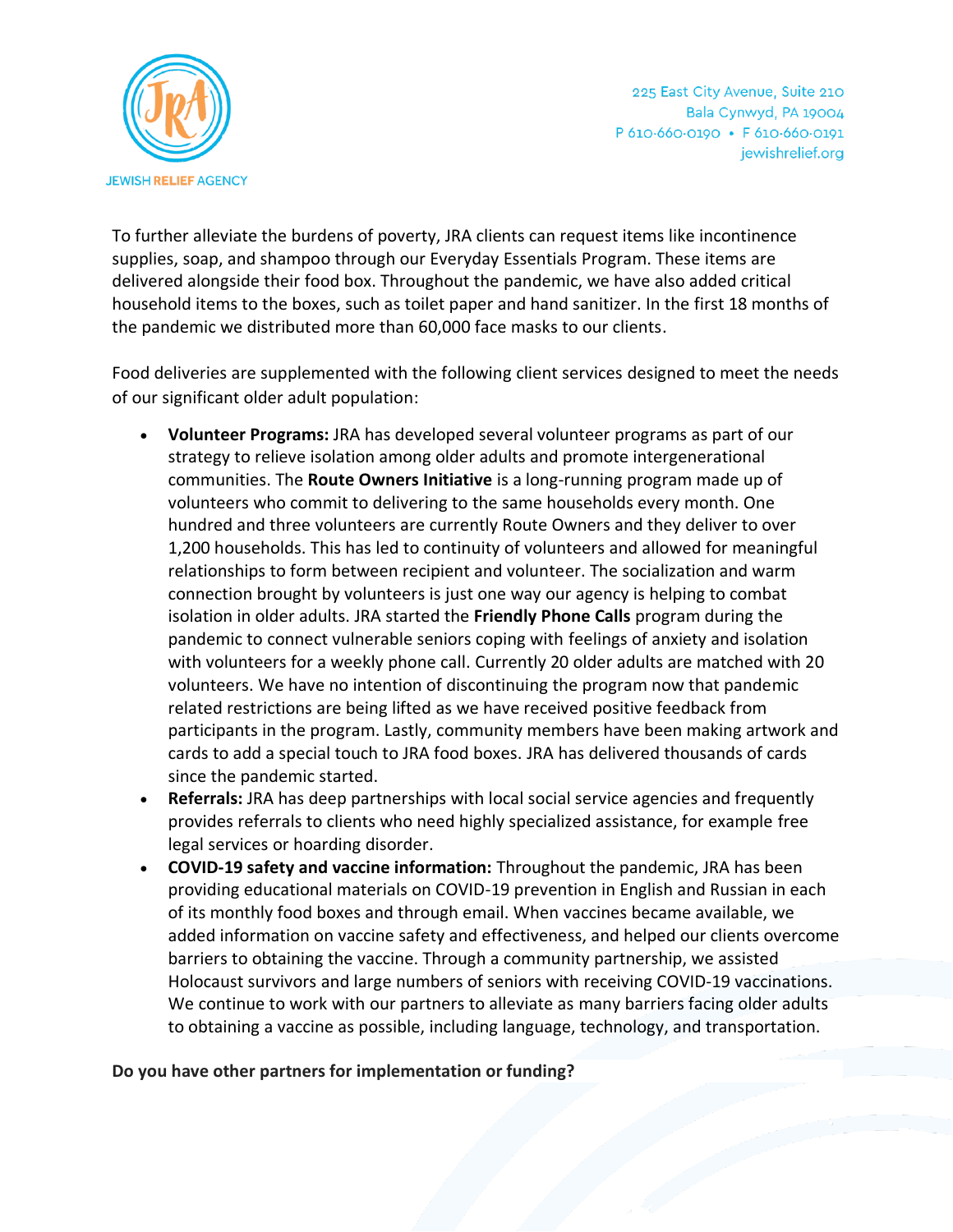

225 East City Avenue, Suite 210 Bala Cynwyd, PA 19004 P 610.660.0190 · F 610.660.0191 jewishrelief.org

To further alleviate the burdens of poverty, JRA clients can request items like incontinence supplies, soap, and shampoo through our Everyday Essentials Program. These items are delivered alongside their food box. Throughout the pandemic, we have also added critical household items to the boxes, such as toilet paper and hand sanitizer. In the first 18 months of the pandemic we distributed more than 60,000 face masks to our clients.

Food deliveries are supplemented with the following client services designed to meet the needs of our significant older adult population:

- **Volunteer Programs:** JRA has developed several volunteer programs as part of our strategy to relieve isolation among older adults and promote intergenerational communities. The **Route Owners Initiative** is a long-running program made up of volunteers who commit to delivering to the same households every month. One hundred and three volunteers are currently Route Owners and they deliver to over 1,200 households. This has led to continuity of volunteers and allowed for meaningful relationships to form between recipient and volunteer. The socialization and warm connection brought by volunteers is just one way our agency is helping to combat isolation in older adults. JRA started the **Friendly Phone Calls** program during the pandemic to connect vulnerable seniors coping with feelings of anxiety and isolation with volunteers for a weekly phone call. Currently 20 older adults are matched with 20 volunteers. We have no intention of discontinuing the program now that pandemic related restrictions are being lifted as we have received positive feedback from participants in the program. Lastly, community members have been making artwork and cards to add a special touch to JRA food boxes. JRA has delivered thousands of cards since the pandemic started.
- **Referrals:** JRA has deep partnerships with local social service agencies and frequently provides referrals to clients who need highly specialized assistance, for example free legal services or hoarding disorder.
- **COVID-19 safety and vaccine information:** Throughout the pandemic, JRA has been providing educational materials on COVID-19 prevention in English and Russian in each of its monthly food boxes and through email. When vaccines became available, we added information on vaccine safety and effectiveness, and helped our clients overcome barriers to obtaining the vaccine. Through a community partnership, we assisted Holocaust survivors and large numbers of seniors with receiving COVID-19 vaccinations. We continue to work with our partners to alleviate as many barriers facing older adults to obtaining a vaccine as possible, including language, technology, and transportation.

#### **Do you have other partners for implementation or funding?**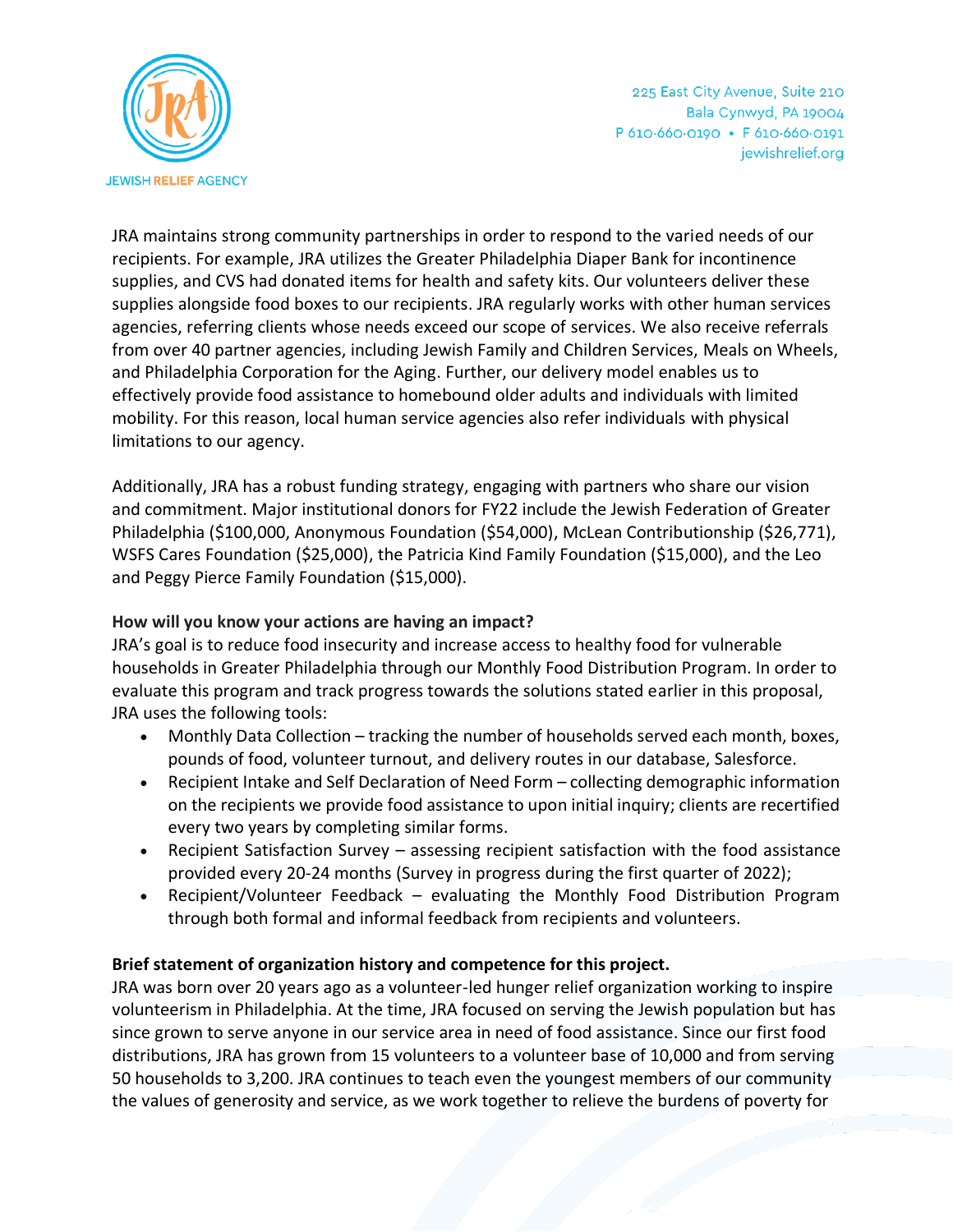

225 East City Avenue, Suite 210 Bala Cynwyd, PA 19004 P 610.660.0190 · F 610.660.0191 jewishrelief.org

JRA maintains strong community partnerships in order to respond to the varied needs of our recipients. For example, JRA utilizes the Greater Philadelphia Diaper Bank for incontinence supplies, and CVS had donated items for health and safety kits. Our volunteers deliver these supplies alongside food boxes to our recipients. JRA regularly works with other human services agencies, referring clients whose needs exceed our scope of services. We also receive referrals from over 40 partner agencies, including Jewish Family and Children Services, Meals on Wheels, and Philadelphia Corporation for the Aging. Further, our delivery model enables us to effectively provide food assistance to homebound older adults and individuals with limited mobility. For this reason, local human service agencies also refer individuals with physical limitations to our agency.

Additionally, JRA has a robust funding strategy, engaging with partners who share our vision and commitment. Major institutional donors for FY22 include the Jewish Federation of Greater Philadelphia (\$100,000, Anonymous Foundation (\$54,000), McLean Contributionship (\$26,771), WSFS Cares Foundation (\$25,000), the Patricia Kind Family Foundation (\$15,000), and the Leo and Peggy Pierce Family Foundation (\$15,000).

### **How will you know your actions are having an impact?**

JRA's goal is to reduce food insecurity and increase access to healthy food for vulnerable households in Greater Philadelphia through our Monthly Food Distribution Program. In order to evaluate this program and track progress towards the solutions stated earlier in this proposal, JRA uses the following tools:

- Monthly Data Collection tracking the number of households served each month, boxes, pounds of food, volunteer turnout, and delivery routes in our database, Salesforce.
- Recipient Intake and Self Declaration of Need Form collecting demographic information on the recipients we provide food assistance to upon initial inquiry; clients are recertified every two years by completing similar forms.
- Recipient Satisfaction Survey assessing recipient satisfaction with the food assistance provided every 20-24 months (Survey in progress during the first quarter of 2022);
- Recipient/Volunteer Feedback evaluating the Monthly Food Distribution Program through both formal and informal feedback from recipients and volunteers.

#### **Brief statement of organization history and competence for this project.**

JRA was born over 20 years ago as a volunteer-led hunger relief organization working to inspire volunteerism in Philadelphia. At the time, JRA focused on serving the Jewish population but has since grown to serve anyone in our service area in need of food assistance. Since our first food distributions, JRA has grown from 15 volunteers to a volunteer base of 10,000 and from serving 50 households to 3,200. JRA continues to teach even the youngest members of our community the values of generosity and service, as we work together to relieve the burdens of poverty for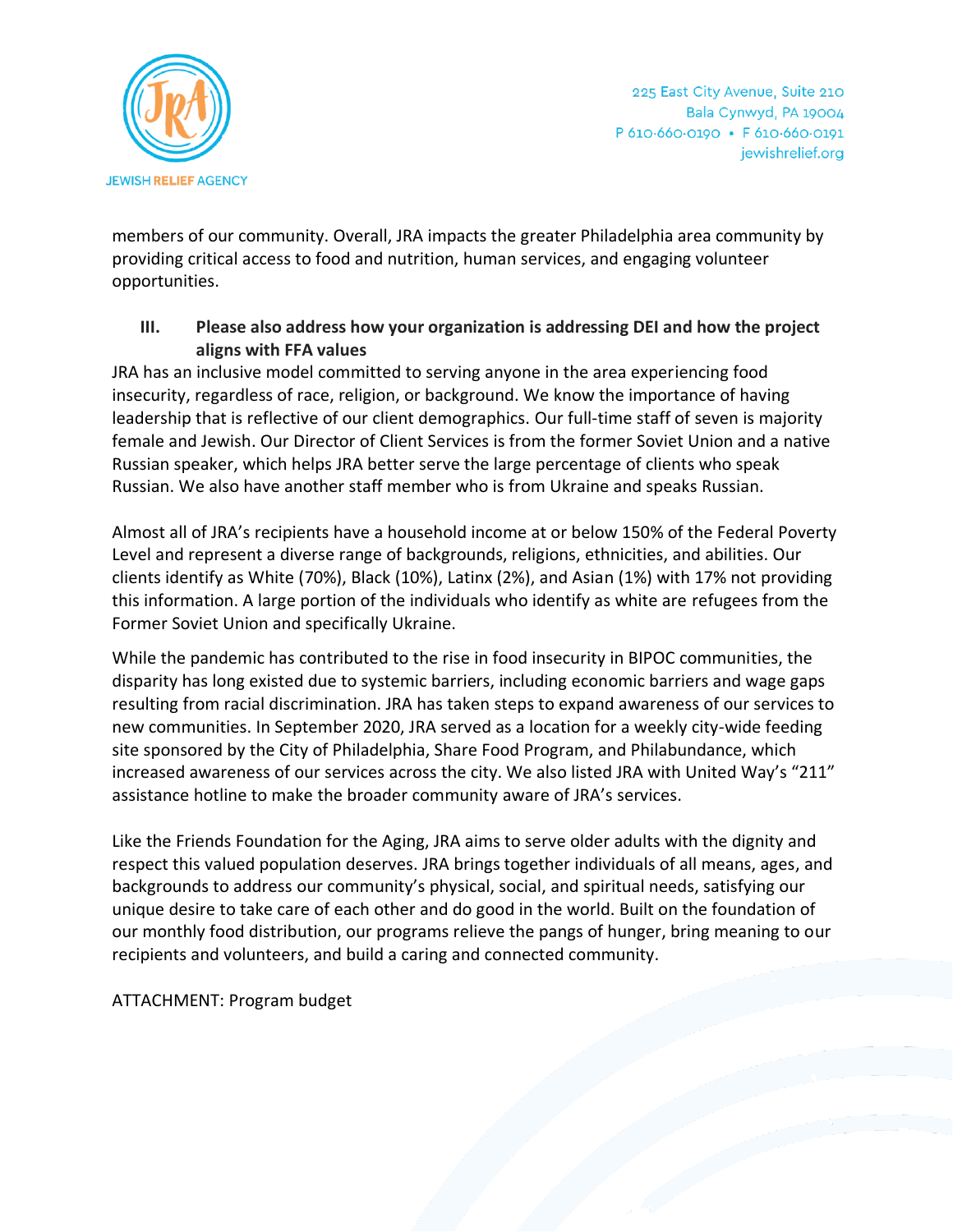

members of our community. Overall, JRA impacts the greater Philadelphia area community by providing critical access to food and nutrition, human services, and engaging volunteer opportunities.

**III. Please also address how your organization is addressing DEI and how the project aligns with FFA values**

JRA has an inclusive model committed to serving anyone in the area experiencing food insecurity, regardless of race, religion, or background. We know the importance of having leadership that is reflective of our client demographics. Our full-time staff of seven is majority female and Jewish. Our Director of Client Services is from the former Soviet Union and a native Russian speaker, which helps JRA better serve the large percentage of clients who speak Russian. We also have another staff member who is from Ukraine and speaks Russian.

Almost all of JRA's recipients have a household income at or below 150% of the Federal Poverty Level and represent a diverse range of backgrounds, religions, ethnicities, and abilities. Our clients identify as White (70%), Black (10%), Latinx (2%), and Asian (1%) with 17% not providing this information. A large portion of the individuals who identify as white are refugees from the Former Soviet Union and specifically Ukraine.

While the pandemic has contributed to the rise in food insecurity in BIPOC communities, the disparity has long existed due to systemic barriers, including economic barriers and wage gaps resulting from racial discrimination. JRA has taken steps to expand awareness of our services to new communities. In September 2020, JRA served as a location for a weekly city-wide feeding site sponsored by the City of Philadelphia, Share Food Program, and Philabundance, which increased awareness of our services across the city. We also listed JRA with United Way's "211" assistance hotline to make the broader community aware of JRA's services.

Like the Friends Foundation for the Aging, JRA aims to serve older adults with the dignity and respect this valued population deserves. JRA brings together individuals of all means, ages, and backgrounds to address our community's physical, social, and spiritual needs, satisfying our unique desire to take care of each other and do good in the world. Built on the foundation of our monthly food distribution, our programs relieve the pangs of hunger, bring meaning to our recipients and volunteers, and build a caring and connected community.

ATTACHMENT: Program budget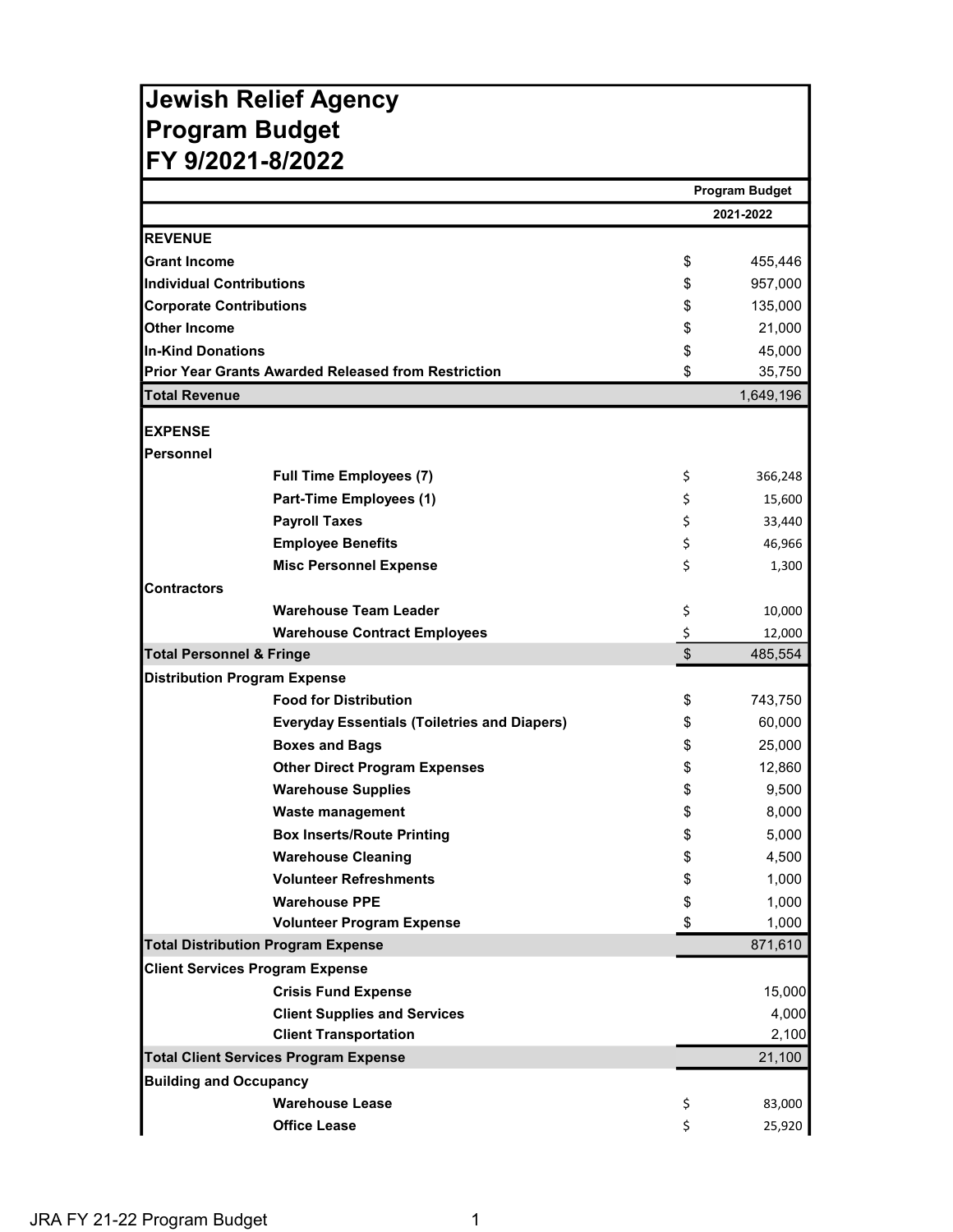# Jewish Relief Agency Program Budget FY 9/2021-8/2022

|                                                            |                         | <b>Program Budget</b> |  |
|------------------------------------------------------------|-------------------------|-----------------------|--|
|                                                            |                         | 2021-2022             |  |
| <b>REVENUE</b>                                             |                         |                       |  |
| <b>Grant Income</b>                                        | \$                      | 455,446               |  |
| <b>Individual Contributions</b>                            | \$                      | 957,000               |  |
| <b>Corporate Contributions</b>                             | \$                      | 135,000               |  |
| <b>Other Income</b>                                        | \$                      | 21,000                |  |
| <b>In-Kind Donations</b>                                   | \$                      | 45,000                |  |
| <b>Prior Year Grants Awarded Released from Restriction</b> | \$                      | 35,750                |  |
| <b>Total Revenue</b>                                       |                         | 1,649,196             |  |
| <b>EXPENSE</b>                                             |                         |                       |  |
| lPersonnel                                                 |                         |                       |  |
| <b>Full Time Employees (7)</b>                             | \$                      | 366,248               |  |
| Part-Time Employees (1)                                    | \$                      | 15,600                |  |
| <b>Payroll Taxes</b>                                       | \$                      | 33,440                |  |
| <b>Employee Benefits</b>                                   | \$                      | 46,966                |  |
| <b>Misc Personnel Expense</b>                              | \$                      | 1,300                 |  |
| <b>Contractors</b>                                         |                         |                       |  |
| <b>Warehouse Team Leader</b>                               | \$                      | 10,000                |  |
| <b>Warehouse Contract Employees</b>                        | \$                      | 12,000                |  |
| <b>Total Personnel &amp; Fringe</b>                        | $\overline{\mathbf{S}}$ | 485,554               |  |
| <b>Distribution Program Expense</b>                        |                         |                       |  |
| <b>Food for Distribution</b>                               | \$                      | 743,750               |  |
| <b>Everyday Essentials (Toiletries and Diapers)</b>        | \$                      | 60,000                |  |
| <b>Boxes and Bags</b>                                      | \$                      | 25,000                |  |
| <b>Other Direct Program Expenses</b>                       | \$                      | 12,860                |  |
| <b>Warehouse Supplies</b>                                  | \$                      | 9,500                 |  |
| <b>Waste management</b>                                    | \$                      | 8,000                 |  |
| <b>Box Inserts/Route Printing</b>                          | \$                      | 5,000                 |  |
| <b>Warehouse Cleaning</b>                                  | \$                      | 4,500                 |  |
| <b>Volunteer Refreshments</b>                              | \$                      | 1,000                 |  |
| <b>Warehouse PPE</b>                                       | \$                      | 1,000                 |  |
| <b>Volunteer Program Expense</b>                           | \$                      | 1,000                 |  |
| <b>Total Distribution Program Expense</b>                  |                         | 871,610               |  |
| <b>Client Services Program Expense</b>                     |                         |                       |  |
| <b>Crisis Fund Expense</b>                                 |                         | 15,000                |  |
| <b>Client Supplies and Services</b>                        |                         | 4,000                 |  |
| <b>Client Transportation</b>                               |                         | 2,100                 |  |
| <b>Total Client Services Program Expense</b>               |                         | 21,100                |  |
| <b>Building and Occupancy</b>                              |                         |                       |  |
| <b>Warehouse Lease</b>                                     | \$                      | 83,000                |  |
| <b>Office Lease</b>                                        | \$                      | 25,920                |  |